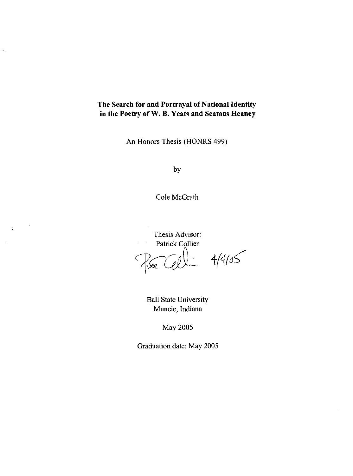# **The Search for and Portrayal** of National **Identity in the Poetry of W. B. Yeats and Seamus Heaney**

L,

 $\frac{1}{2}$ 

An Honors Thesis (HONRS 499)

by

Cole McGrath

Thesis Advisor: Patrick Collier  $Eul: 4/4/05$ 

> Ball State University Muncie, Indiana

> > May 2005

Graduation date: May 2005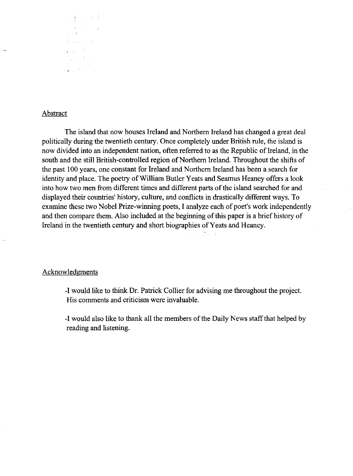

# Abstract

The island that now houses Ireland and Northern Ireland has changed a great deal politically during the twentieth century. Once completely under British rule, the island is now divided into an independent nation, often referred to as the Republic of Ireland, in the south and the still British-controlled region of Northern Ireland. Throughout the shifts of the past 100 years, one constant for Ireland and Northern Ireland has been a search for identity and place. The poetry of William Butler Yeats and Seamus Heaney offers a look into how two men from different times and different parts of the island searched for and displayed their countries' history, culture, and conflicts in drastically different ways. To examine these two Nobel Prize-winning poets, I analyze each of poet's work independently and then compare them. Also included at the beginning of this paper is a brief history of Ireland in the twentieth century and short biographies of Yeats and Heaney.

#### Acknowledgments

-I would like to think Dr. Patrick Collier for advising me throughout the project. His comments and criticism were invaluable.

-I would also like to thank all the members of the Daily News staff that helped by reading and listening.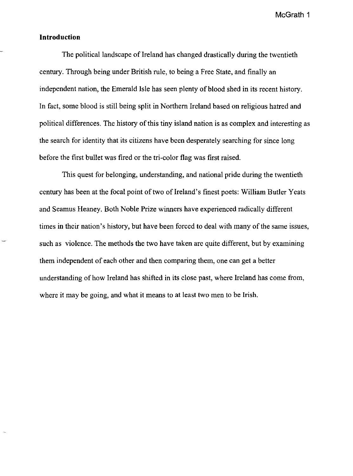## **Introduction**

The political landscape of Ireland has changed drastically during the twentieth century. Through being under British rule, to being a Free State, and finally an independent nation, the Emerald Isle has seen plenty of blood shed in its recent history. **In** fact, some blood is still being split in Northern Ireland based on religious hatred and political differences. The history of this tiny island nation is as complex and interesting as the search for identity that its citizens have been desperately searching for since long before the first bullet was fired or the tri-color flag was first raised.

This quest for belonging, understanding, and national pride during the twentieth century has been at the focal point of two of Ireland's finest poets: William Butler Yeats and Seamus Heaney. Both Noble Prize winners have experienced radically different times in their nation's history, but have been forced to deal with many of the same issues, such as violence. The methods the two have taken are quite different, but by examining them independent of each other and then comparing them, one can get a better understanding of how Ireland has shifted in its close past, where Ireland has come from, where it may be going, and what it means to at least two men to be Irish.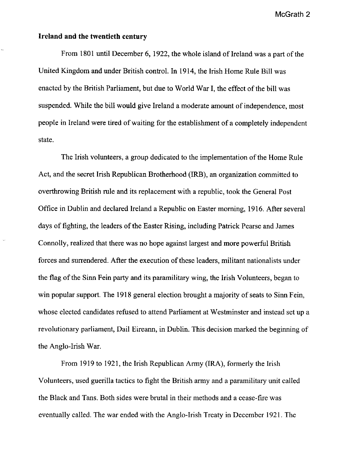# **Ireland and the twentieth century**

From 1801 until December 6, 1922, the whole island of Ireland was a part of the United Kingdom and under British control. In 1914, the Irish Home Rule Bill was enacted by the British Parliament, but due to World War I, the effect of the bill was suspended. While the bill would give Ireland a moderate amount of independence, most people in Ireland were tired of waiting for the establishment of a completely independent state.

The Irish volunteers, a group dedicated to the implementation of the Home Rule Act, and the secret Irish Republican Brotherhood (IRB), an organization committed to overthrowing British rule and its replacement with a republic, took the General Post Office in Dublin and declared Ireland a Republic on Easter morning, 1916. After several days of fighting, the leaders of the Easter Rising, including Patrick Pearse and James Connolly, realized that there was no hope against largest and more powerful British forces and surrendered. After the execution of these leaders, militant nationalists under the flag of the Sinn Fein party and its paramilitary wing, the Irish Volunteers, began to win popular support. The 1918 general election brought a majority of seats to Sinn Fein, whose elected candidates refused to attend Parliament at Westminster and instead set up a revolutionary parliament, Dail Eireann, in Dublin. This decision marked the beginning of the Anglo-Irish War.

From 1919 to 1921, the Irish Republican Army (IRA), formerly the Irish Volunteers, used guerilla tactics to fight the British army and a paramilitary unit called the Black and Tans. Both sides were brutal in their methods and a cease-fire was eventually called. The war ended with the Anglo-Irish Treaty in December 1921. The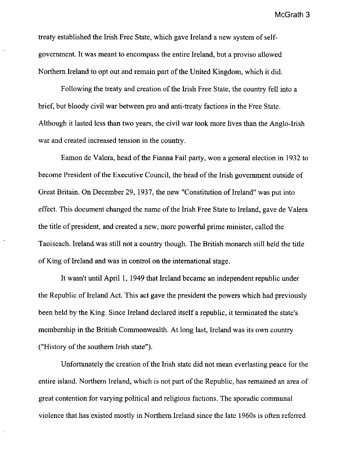treaty established the Irish Free State, which gave Ireland a new system of selfgovernment. It was meant to encompass the entire Ireland, but a proviso allowed Northern Ireland to opt out and remain part of the United Kingdom, which it did.

Following the treaty and creation of the Irish Free State, the country fell into a brief, but bloody civil war between pro and anti-treaty factions in the Free State. Although it lasted less than two years, the civil war took more lives than the Anglo-Irish war and created increased tension in the country.

Eamon de Valera, head of the Fianna Fail party, won a general election in 1932 to become President of the Executive Council, the head of the Irish government outside of Great Britain. On December 29, 1937, the new "Constitution of Ireland" was put into effect. This document changed the name of the Irish Free State to Ireland, gave de Valera the title of president, and created a new, more powerful prime minister, called the Taoiseach. Ireland was still not a country though. The British monarch still held the title of King of Ireland and was in control on the international stage.

It wasn't until April 1, 1949 that Ireland became an independent republic under the Republic of Ireland Act. This act gave the president the powers which had previously been held by the King. Since Ireland declared itself a republic, it terminated the state's membership in the British Commonwealth. At long last, Ireland was its own country ("History of the southern Irish state").

Unfortunately the creation of the Irish state did not mean everlasting peace for the entire island. Northern Ireland, which is not part of the Republic, has remained an area of great contention for varying political and religious factions. The sporadic communal violence that has existed mostly in Northern Ireland since the late 1960s is often referred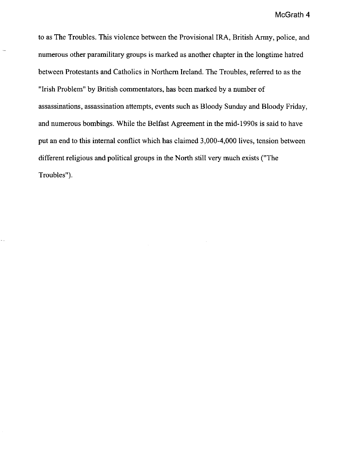to as The Troubles. This violence between the Provisional IRA, British Army, police, and numerous other paramilitary groups is marked as another chapter in the longtime hatred between Protestants and Catholics in Northern Ireland. The Troubles, referred to as the "Irish Problem" by British commentators, has been marked by a number of assassinations, assassination attempts, events such as Bloody Sunday and Bloody Friday, and numerous bombings. While the Belfast Agreement in the mid-1990s is said to have put an end to this internal conflict which has claimed 3,000-4,000 lives, tension between different religious and political groups in the North still very much exists ("The Troubles").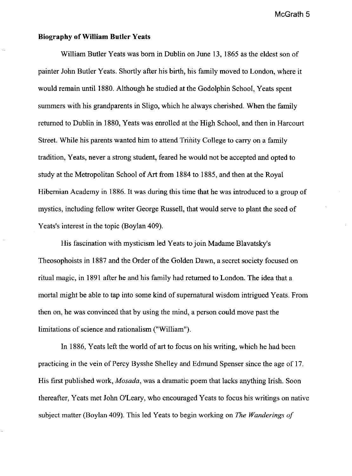## **Biography of William Butler Yeats**

William Butler Yeats was born in Dublin on June 13, 1865 as the eldest son of painter John Butler Yeats. Shortly after his birth, his family moved to London, where it would remain until 1880. Although he studied at the Godolphin School, Yeats spent summers with his grandparents in Sligo, which he always cherished. When the family returned to Dublin in 1880, Yeats was enrolled at the High School, and then in Harcourt Street. While his parents wanted him to attend Trinity College to carry on a family tradition, Yeats, never a strong student, feared he would not be accepted and opted to study at the Metropolitan School of Art from 1884 to 1885, and then at the Royal Hibernian Academy in 1886. It was during this time that he was introduced to a group of mystics, including fellow writer George Russell, that would serve to plant the seed of Yeats's interest in the topic (Boylan 409).

His fascination with mysticism led Yeats to join Madame B1avatsky's Theosophoists in 1887 and the Order of the Golden Dawn, a secret society focused on ritual magic, in 1891 after he and his family had returned to London. The idea that a mortal might be able to tap into some kind of supernatural wisdom intrigued Yeats. From then on, he was convinced that by using the mind, a person could move past the limitations of science and rationalism ("William").

In 1886, Yeats left the world of art to focus on his writing, which he had been practicing in the vein of Percy Bysshe Shelley and Edmund Spenser since the age of 17. His first published work, *Mosada,* was a dramatic poem that lacks anything Irish. Soon thereafter, Yeats met John O'Leary, who encouraged Yeats to focus his writings on native subject matter (Boylan 409). This led Yeats to begin working on *The Wanderings of*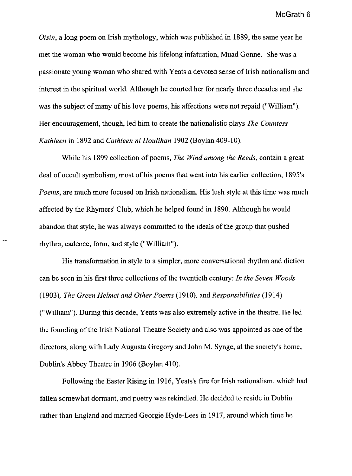Oisin, a long poem on Irish mythology, which was published in 1889, the same year he met the woman who would become his lifelong infatuation, Muad Gonne. She was a passionate young woman who shared with Yeats a devoted sense of Irish nationalism and interest in the spiritual world. Although he courted her for nearly three decades and she was the subject of many of his love poems, his affections were not repaid ("William"). Her encouragement, though, led him to create the nationalistic plays *The Countess Kathleen* in 1892 and *Cathleen* ni *Houlihan* 1902 (Boylan 409-10).

While his 1899 collection of poems, *The Wind among the Reeds,* contain a great deal of occult symbolism, most of his poems that went into his earlier collection, 1895's *Poems,* are much more focused on Irish nationalism. His lush style at this time was much affected by the Rhymers' Club, which he helped found in 1890. Although he would abandon that style, he was always committed to the ideals of the group that pushed rhythm, cadence, form, and style ("William").

His transformation in style to a simpler, more conversational rhythm and diction can be seen in his first three collections of the twentieth century: *In the Seven Woods (1903), The Green Helmet and Other Poems* (1910), and *Responsibilities* (1914) ("William"). During this decade, Yeats was also extremely active in the theatre. He led the founding of the Irish National Theatre Society and also was appointed as one of the directors, along with Lady Augusta Gregory and John M. Synge, at the society's home, Dublin's Abbey Theatre in 1906 (Boylan 410).

Following the Easter Rising in 1916, Yeats's fire for Irish nationalism, which had fallen somewhat dormant, and poetry was rekindled. He decided to reside in Dublin rather than England and married Georgie Hyde-Lees in 1917, around which time he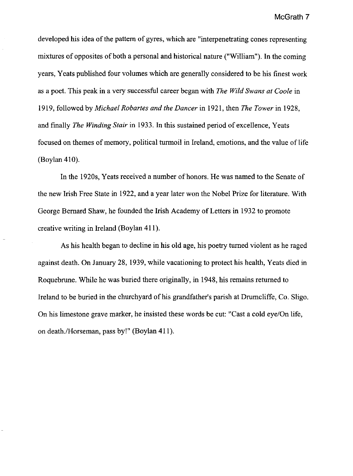developed his idea of the pattern of gyres, which are "interpenetrating cones representing mixtures of opposites of both a personal and historical nature ("William"). In the coming years, Yeats published four volumes which are generally considered to be his finest work as a poet. This peak in a very successful career began with *The Wild Swans at Coole* in 1919, followed by *Michael Robartes and the Dancer* in 1921, then *The Tower* in 1928, and finally *The Winding Stair* in 1933. In this sustained period of excellence, Yeats focused on themes of memory, political turmoil in Ireland, emotions, and the value of life (Boylan 410).

In the 1920s, Yeats received a number of honors. He was named to the Senate of the new Irish Free State in 1922, and a year later won the Nobel Prize for literature. With George Bernard Shaw, he founded the Irish Academy of Letters in 1932 to promote creative writing in Ireland (Boylan 411).

As his health began to decline in his old age, his poetry turned violent as he raged against death. On January 28, 1939, while vacationing to protect his health, Yeats died in Roquebrune. While he was buried there originally, in 1948, his remains returned to Ireland to be buried in the churchyard of his grandfather's parish at Drumcliffe, Co. Sligo. On his limestone grave marker, he insisted these words be cut: "Cast a cold eye/On life, on death./Horseman, pass by!" (Boylan 411).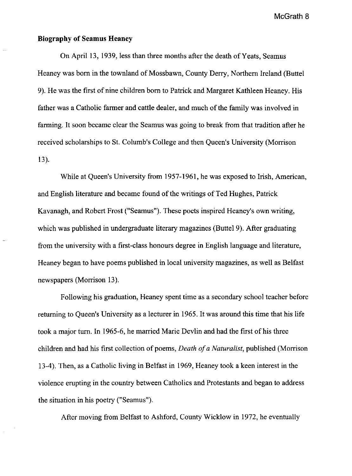#### **Biography of Seamus Heaney**

On April 13, 1939, less than three months after the death of Yeats, Seamus Heaney was born in the townland of Mossbawn, County Derry, Northern Ireland (Buttel 9). He was the first of nine children born to Patrick and Margaret Kathleen Heaney. His father was a Catholic farmer and cattle dealer, and much of the family was involved in farming. It soon became clear the Seamus was going to break from that tradition after he received scholarships to St. Columb's College and then Queen's University (Morrison 13).

While at Queen's University from 1957-1961, he was exposed to Irish, American, and English literature and became found of the writings of Ted Hughes, Patrick Kavanagh, and Robert Frost ("Seamus"). These poets inspired Heaney's own writing, which was published in undergraduate literary magazines (Buttel 9). After graduating from the university with a first-class honours degree in English language and literature, Heaney began to have poems published in local university magazines, as well as Belfast newspapers (Morrison 13).

Following his graduation, Heaney spent time as a secondary school teacher before returning to Queen's University as a lecturer in 1965. It was around this time that his life took a major tum. In 1965-6, he married Marie Devlin and had the first of his three children and had his first collection of poems, *Death of a Naturalist,* published (Morrison 13-4). Then, as a Catholic living in Belfast in 1969, Heaney took a keen interest in the violence erupting in the country between Catholics and Protestants and began to address the situation in his poetry ("Seamus").

After moving from Belfast to Ashford, County Wicklow in 1972, he eventually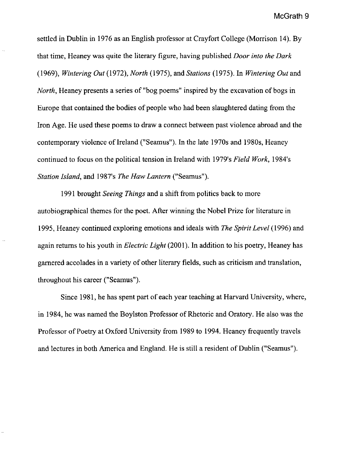settled in Dublin in 1976 as an English professor at Crayfort College (Morrison 14). By that time, Heaney was quite the literary figure, having published *Door into the Dark (1969), Wintering Out* (1972), *North* (1975), and *Stations* (1975). In *Wintering Out* and *North*, Heaney presents a series of "bog poems" inspired by the excavation of bogs in Europe that contained the bodies of people who had been slaughtered dating from the Iron Age. He used these poems to draw a connect between past violence abroad and the contemporary violence of Ireland ("Seamus"). In the late 1970s and 1980s, Heaney continued to focus on the political tension in Ireland with 1979's *Field Work,* 1984's *Station Island,* and 1987's *The Haw Lantern* ("Seamus").

1991 brought *Seeing Things* and a shift from politics back to more autobiographical themes for the poet. After winning the Nobel Prize for literature in 1995, Heaney continued exploring emotions and ideals with *The Spirit Level* (1996) and again returns to his youth in *Electric Light* (2001). In addition to his poetry, Heaney has garnered accolades in a variety of other literary fields, such as criticism and translation, throughout his career ("Seamus").

Since 1981, he has spent part of each year teaching at Harvard University, where, in 1984, he was named the Boylston Professor of Rhetoric and Oratory. He also was the Professor of Poetry at Oxford University from 1989 to 1994. Heaney frequently travels and lectures in both America and England. He is still a resident of Dublin ("Seamus").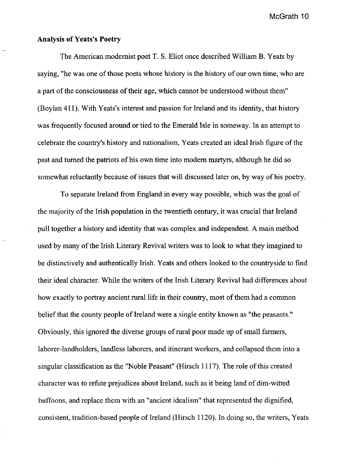# Analysis of Yeats's Poetry

The American modernist poet T. S. Eliot once described William B. Yeats by saying, "he was one of those poets whose history is the history of our own time, who are a part of the consciousness of their age, which cannot be understood without them" (Boylan 411). With Yeats's interest and passion for Ireland and its identity, that history was frequently focused around or tied to the Emerald Isle in someway. In an attempt to celebrate the country's history and nationalism, Yeats created an ideal Irish figure of the past and turned the patriots of his own time into modem martyrs, although he did so somewhat reluctantly because of issues that will discussed later on, by way of his poetry.

To separate Ireland from England in every way possible, which was the goal of the majority of the Irish population in the twentieth century, it was crucial that Ireland pull together a history and identity that was complex and independent. A main method used by many of the Irish Literary Revival writers was to look to what they imagined to be distinctively and authentically Irish. Yeats and others looked to the countryside to find their ideal character. While the writers of the Irish Literary Revival had differences about how exactly to portray ancient rural life in their country, most of them had a common belief that the county people of Ireland were a single entity known as "the peasants." Obviously, this ignored the diverse groups of rural poor made up of small farmers, laborer-landholders, landless laborers, and itinerant workers, and collapsed them into a singular classification as the "Noble Peasant" (Hirsch 1117). The role of this created character was to refute prejudices about Ireland, such as it being land of dim-witted buffoons, and replace them with an "ancient idealism" that represented the dignified, consistent, tradition-based people of Ireland (Hirsch 1120). In doing so, the writers, Yeats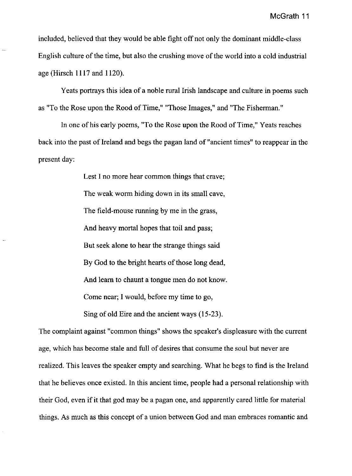included, believed that they would be able fight off not only the dominant middle-class English culture of the time, but also the crushing move of the world into a cold industrial age (Hirsch 1117 and 1120).

Yeats portrays this idea of a noble rural Irish landscape and culture in poems such as "To the Rose upon the Rood of Time," "Those Images," and "The Fisherman."

In one of his early poems, "To the Rose upon the Rood of Time," Yeats reaches back into the past of Ireland and begs the pagan land of "ancient times" to reappear in the present day:

> Lest I no more hear common things that crave; The weak worm hiding down in its small cave, The field-mouse running by me in the grass, And heavy mortal hopes that toil and pass; But seek alone to hear the strange things said By God to the bright hearts of those long dead, And learn to chaunt a tongue men do not know. Come near; I would, before my time to go, Sing of old Eire and the ancient ways (15-23).

The complaint against "common things" shows the speaker's displeasure with the current age, which has become stale and full of desires that consume the soul but never are realized. This leaves the speaker empty and searching. What he begs to find is the Ireland that he believes once existed. In this ancient time, people had a personal relationship with their God, even if it that god may be a pagan one, and apparently cared little for material things. As much as this concept of a union between God and man embraces romantic and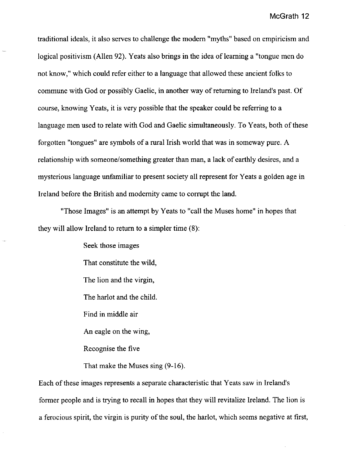traditional ideals, it also serves to challenge the modem "myths" based on empiricism and logical positivism (Allen 92). Yeats also brings in the idea of learning a "tongue men do not know," which could refer either to a language that allowed these ancient folks to commune with God or possibly Gaelic, in another way of returning to Ireland's past. Of course, knowing Yeats, it is very possible that the speaker could be referring to a language men used to relate with God and Gaelic simultaneously. To Yeats, both of these forgotten "tongues" are symbols of a rural Irish world that was in someway pure. A relationship with someone/something greater than man, a lack of earthly desires, and a mysterious language unfamiliar to present society all represent for Yeats a golden age in Ireland before the British and modernity came to corrupt the land.

"Those Images" is an attempt by Yeats to "call the Muses home" in hopes that they will allow Ireland to return to a simpler time (8):

> Seek those images That constitute the wild, The lion and the virgin, The harlot and the child. Find in middle air An eagle on the wing, Recognise the five That make the Muses sing (9-16).

Each of these images represents a separate characteristic that Yeats saw in Ireland's former people and is trying to recall in hopes that they will revitalize Ireland. The lion is a ferocious spirit, the virgin is purity of the soul, the harlot, which seems negative at first,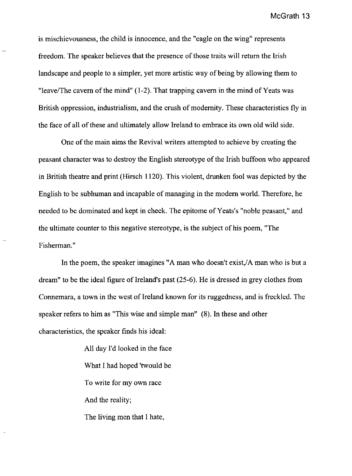is mischievousness, the child is innocence, and the "eagle on the wing" represents freedom. The speaker believes that the presence of those traits will return the Irish landscape and people to a simpler, yet more artistic way of being by allowing them to "leave/The cavern of the mind"  $(1-2)$ . That trapping cavern in the mind of Yeats was British oppression, industrialism, and the crush of modernity. These characteristics fly in the face of all of these and ultimately allow Ireland to embrace its own old wild side.

One of the main aims the Revival writers attempted to achieve by creating the peasant character was to destroy the English stereotype of the Irish buffoon who appeared in British theatre and print (Hirsch 1120). This violent, drunken fool was depicted by the English to be subhuman and incapable of managing in the modern world. Therefore, he needed to be dominated and kept in check. The epitome of Yeats's "noble peasant," and the ultimate counter to this negative stereotype, is the subject of his poem, "The Fisherman."

In the poem, the speaker imagines "A man who doesn't exist.  $/A$  man who is but a dream" to be the ideal figure of Ireland's past  $(25-6)$ . He is dressed in grey clothes from Connemara, a town in the west of Ireland known for its ruggedness, and is freckled. The speaker refers to him as "This wise and simple man" (8). In these and other characteristics, the speaker finds his ideal:

> All day I'd looked in the face What I had hoped 'twould be To write for my own race And the reality; The living men that I hate,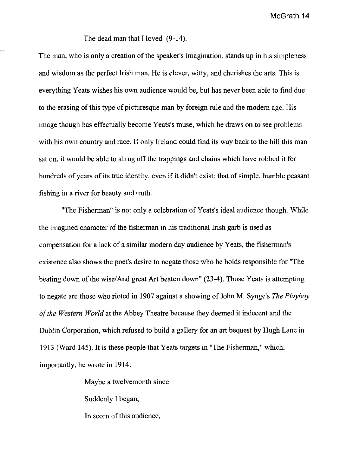The dead man that I loved (9-14).

The man, who is only a creation of the speaker's imagination, stands up in his simpleness and wisdom as the perfect Irish man. He is clever, witty, and cherishes the arts. This is everything Yeats wishes his own audience would be, but has never been able to find due to the erasing of this type of picturesque man by foreign rule and the modem age. His image though has effectually become Yeats's muse, which he draws on to see problems with his own country and race. If only Ireland could find its way back to the hill this man sat on, it would be able to shrug off the trappings and chains which have robbed it for hundreds of years of its true identity, even if it didn't exist: that of simple, humble peasant fishing in a river for beauty and truth.

"The Fisherman" is not only a celebration of Yeats's ideal audience though. While the imagined character of the fisherman in his traditional Irish garb is used as compensation for a lack of a similar modem day audience by Yeats, the fisherman's existence also shows the poet's desire to negate those who he holds responsible for "The beating down of the wise/And great Art beaten down" (23-4). Those Yeats is attempting to negate are those who rioted in 1907 against a showing of John M. Synge's *The Playboy a/the Western World* at the Abbey Theatre because they deemed it indecent and the Dublin Corporation, which refused to build a gallery for an art bequest by Hugh Lane in 1913 (Ward 145). It is these people that Yeats targets in "The Fisherman," which, importantly, he wrote in 1914:

> Maybe a twelvemonth since Suddenly I began, In scorn of this audience,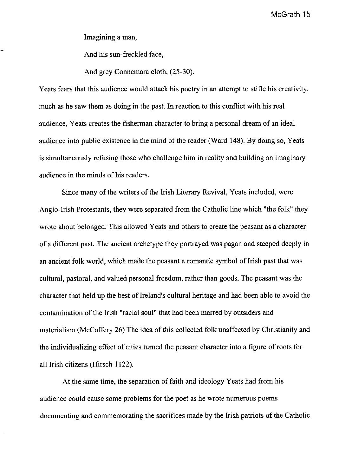Imagining a man,

And his sun-freckled face,

And grey Connemara cloth, (25-30).

Yeats fears that this audience would attack his poetry in an attempt to stifle his creativity, much as he saw them as doing in the past. In reaction to this conflict with his real audience, Yeats creates the fisherman character to bring a personal dream of an ideal audience into public existence in the mind of the reader (Ward 148). By doing so, Yeats is simultaneously refusing those who challenge him in reality and building an imaginary audience in the minds of his readers.

Since many of the writers of the Irish Literary Revival, Yeats included, were Anglo-Irish Protestants, they were separated from the Catholic line which "the folk" they wrote about belonged. This allowed Yeats and others to create the peasant as a character of a different past. The ancient archetype they portrayed was pagan and steeped deeply in an ancient folk world, which made the peasant a romantic symbol of Irish past that was cultural, pastoral, and valued personal freedom, rather than goods. The peasant was the character that held up the best of Ireland's cultural heritage and had been able to avoid the contamination of the Irish "racial soul" that had been marred by outsiders and materialism (McCaffery 26) The idea of this collected folk unaffected by Christianity and the individualizing effect of cities turned the peasant character into a figure of roots for all Irish citizens (Hirsch 1122).

At the same time, the separation of faith and ideology Yeats had from his audience could cause some problems for the poet as he wrote numerous poems documenting and commemorating the sacrifices made by the Irish patriots of the Catholic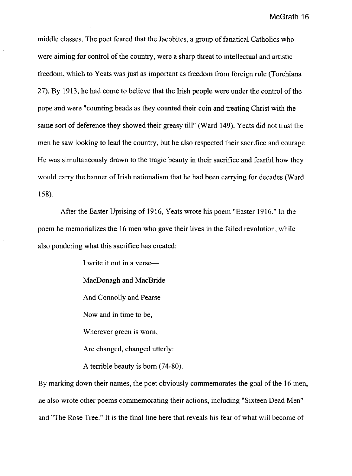middle classes. The poet feared that the Jacobites, a group of fanatical Catholics who were aiming for control of the country, were a sharp threat to intellectual and artistic freedom, which to Yeats was just as important as freedom from foreign rule (Torchiana 27). By 1913, he had come to believe that the Irish people were under the control of the pope and were "counting beads as they counted their coin and treating Christ with the same sort of deference they showed their greasy till" (Ward 149). Yeats did not trust the men he saw looking to lead the country, but he also respected their sacrifice and courage. He was simultaneously drawn to the tragic beauty in their sacrifice and fearful how they would carry the banner of Irish nationalism that he had been carrying for decades (Ward 158).

After the Easter Uprising of 1916, Yeats wrote his poem "Easter 1916." In the poem he memorializes the 16 men who gave their lives in the failed revolution, while also pondering what this sacrifice has created:

> I write it out in a verse-MacDonagh and MacBride And Connolly and Pearse Now and in time to be, Wherever green is worn, Are changed, changed utterly: A terrible beauty is born (74-80).

By marking down their names, the poet obviously commemorates the goal of the 16 men, he also wrote other poems commemorating their actions, including "Sixteen Dead Men" and "The Rose Tree." It is the final line here that reveals his fear of what will become of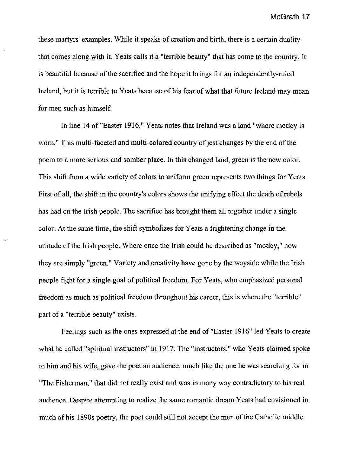these martyrs' examples. While it speaks of creation and birth, there is a certain duality that comes along with it. Yeats calls it a "terrible beauty" that has come to the country. It is beautiful because of the sacrifice and the hope it brings for an independently-ruled Ireland, but it is terrible to Yeats because of his fear of what that future Ireland may mean for men such as himself.

In line 14 of "Easter 1916," Yeats notes that Ireland was a land "where motley is worn." This multi-faceted and multi-colored country of jest changes by the end of the poem to a more serious and somber place. In this changed land, green is the new color. This shift from a wide variety of colors to uniform green represents two things for Yeats. First of all, the shift in the country's colors shows the unifying effect the death of rebels has had on the Irish people. The sacrifice has brought them all together under a single color. At the same time, the shift symbolizes for Yeats a frightening change in the attitude of the Irish people. Where once the Irish could be described as "motley," now they are simply "green." Variety and creativity have gone by the wayside while the Irish people fight for a single goal of political freedom. For Yeats, who emphasized personal freedom as much as political freedom throughout his career, this is where the "terrible" part of a "terrible beauty" exists.

Feelings such as the ones expressed at the end of "Easter 1916" led Yeats to create what he called "spiritual instructors" in 1917. The "instructors," who Yeats claimed spoke to him and his wife, gave the poet an audience, much like the one he was searching for in "The Fisherman," that did not really exist and was in many way contradictory to his real audience. Despite attempting to realize the same romantic dream Yeats had envisioned in much of his 1890s poetry, the poet could still not accept the men of the Catholic middle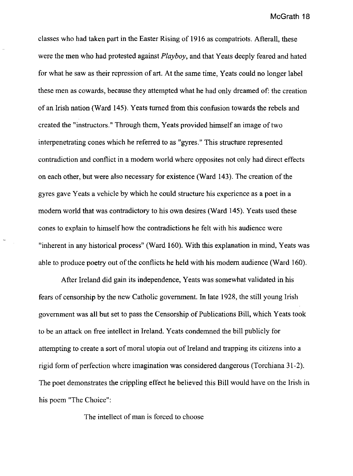classes who had taken part in the Easter Rising of 1916 as compatriots. Afterall, these were the men who had protested against *Playboy,* and that Yeats deeply feared and hated for what he saw as their repression of art. At the same time, Yeats could no longer label these men as cowards, because they attempted what he had only dreamed of: the creation of an Irish nation (Ward 145). Yeats turned from this confusion towards the rebels and created the "instructors." Through them, Yeats provided himself an image of two interpenetrating cones which he referred to as "gyres." This structure represented contradiction and conflict in a modem world where opposites not only had direct effects on each other, but were also necessary for existence (Ward 143). The creation of the gyres gave Yeats a vehicle by which he could structure his experience as a poet in a modem world that was contradictory to his own desires (Ward 145). Yeats used these cones to explain to himself how the contradictions he felt with his audience were "inherent in any historical process" (Ward 160). With this explanation in mind, Yeats was able to produce poetry out of the conflicts he held with his modem audience (Ward 160).

After Ireland did gain its independence, Yeats was somewhat validated in his fears of censorship by the new Catholic government. In late 1928, the still young Irish government was all but set to pass the Censorship of Publications Bill, which Yeats took to be an attack on free intellect in Ireland. Yeats condemned the bill publicly for attempting to create a sort of moral utopia out of Ireland and trapping its citizens into a rigid form of perfection where imagination was considered dangerous (Torchiana 31-2). The poet demonstrates the crippling effect he believed this Bill would have on the Irish in his poem "The Choice":

The intellect of man is forced to choose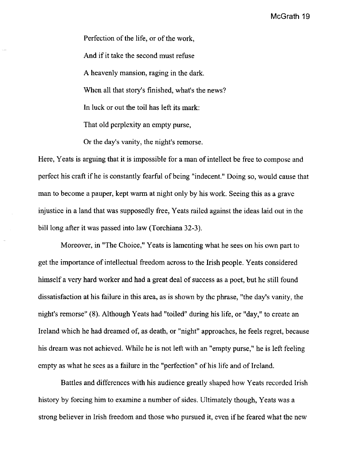Perfection of the life, or of the work, And if it take the second must refuse A heavenly mansion, raging in the dark. When all that story's finished, what's the news? In luck or out the toil has left its mark: That old perplexity an empty purse,

Or the day's vanity, the night's remorse.

Here, Yeats is arguing that it is impossible for a man of intellect be free to compose and perfect his craft ifhe is constantly fearful of being "indecent." Doing so, would cause that man to become a pauper, kept warm at night only by his work. Seeing this as a grave injustice in a land that was supposedly free, Yeats railed against the ideas laid out in the bill long after it was passed into law (Torchiana 32-3).

Moreover, in "The Choice," Yeats is lamenting what he sees on his own part to get the importance of intellectual freedom across to the Irish people. Yeats considered himself a very hard worker and had a great deal of success as a poet, but he still found dissatisfaction at his failure in this area, as is shown by the phrase, "the day's vanity, the night's remorse" (8). Although Yeats had "toiled" during his life, or "day," to create an Ireland which he had dreamed of, as death, or "night" approaches, he feels regret, because his dream was not achieved. While he is not left with an "empty purse," he is left feeling empty as what he sees as a failure in the "perfection" of his life and of Ireland.

Battles and differences with his audience greatly shaped how Yeats recorded Irish history by forcing him to examine a number of sides. Ultimately though, Yeats was a strong believer in Irish freedom and those who pursued it, even ifhe feared what the new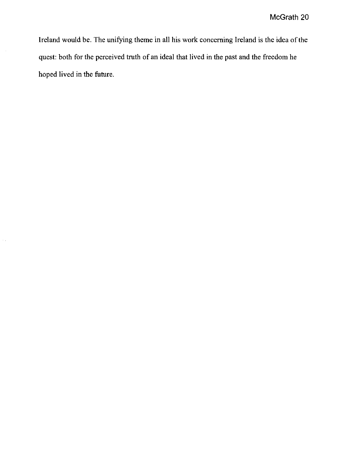Ireland would be. The unifying theme in all his work concerning Ireland is the idea of the quest: both for the perceived truth of an ideal that lived in the past and the freedom he hoped lived in the future.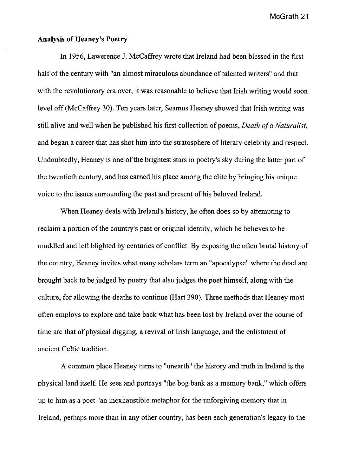## Analysis of Heaney's Poetry

In 1956, Lawerence J. McCaffrey wrote that Ireland had been blessed in the first half of the century with "an almost miraculous abundance of talented writers" and that with the revolutionary era over, it was reasonable to believe that Irish writing would soon level off (McCaffrey 30). Ten years later, Seamus Heaney showed that Irish writing was still alive and well when he published his first collection of poems, *Death of a Naturalist,*  and began a career that has shot him into the stratosphere of literary celebrity and respect. Undoubtedly, Heaney is one of the brightest stars in poetry's sky during the latter part of the twentieth century, and has earned his place among the elite by bringing his unique voice to the issues surrounding the past and present of his beloved Ireland.

When Heaney deals with Ireland's history, he often does so by attempting to reclaim a portion of the country's past or original identity, which he believes to be muddled and left blighted by centuries of conflict. By exposing the often brutal history of the country, Heaney invites what many scholars term an "apocalypse" where the dead are brought back to be judged by poetry that also judges the poet himself, along with the culture, for allowing the deaths to continue (Hart 390). Three methods that Heaney most often employs to explore and take back what has been lost by Ireland over the course of time are that of physical digging, a revival of Irish language, and the enlistment of ancient Celtic tradition.

A common place Heaney turns to "unearth" the history and truth in Ireland is the physical land itself. He sees and portrays "the bog bank as a memory bank," which offers up to him as a poet "an inexhaustible metaphor for the unforgiving memory that in Ireland, perhaps more than in any other country, has been each generation's legacy to the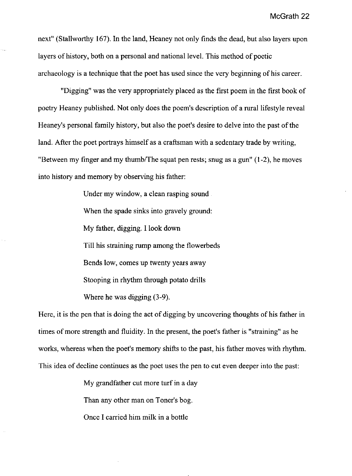next" (Stallworthy 167). In the land, Heaney not only finds the dead, but also layers upon layers of history, both on a personal and national level. This method of poetic archaeology is a technique that the poet has used since the very beginning of his career.

"Digging" was the very appropriately placed as the first poem in the first book of poetry Heaney published. Not only does the poem's description of a rural lifestyle reveal Heaney's personal family history, but also the poet's desire to delve into the past of the land. After the poet portrays himself as a craftsman with a sedentary trade by writing, "Between my finger and my thumb/The squat pen rests; snug as a gun" (1-2), he moves into history and memory by observing his father:

> Under my window, a clean rasping sound. When the spade sinks into gravely ground: My father, digging. I look down Till his straining rump among the flowerbeds Bends low, comes up twenty years away Stooping in rhythm through potato drills Where he was digging (3-9).

Here, it is the pen that is doing the act of digging by uncovering thoughts of his father in times of more strength and fluidity. In the present, the poet's father is "straining" as he works, whereas when the poet's memory shifts to the past, his father moves with rhythm. This idea of decline continues as the poet uses the pen to cut even deeper into the past:

My grandfather cut more turf in a day

Than any other man on Toner's bog.

Once I carried him milk in a bottle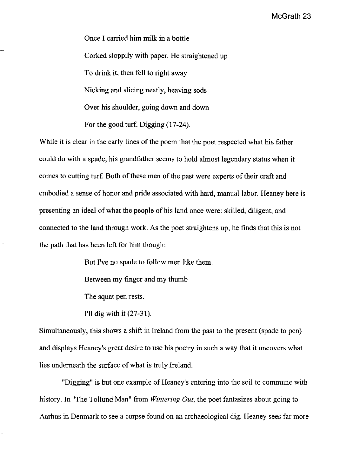Once I carried him milk in a bottle Corked sloppily with paper. He straightened up To drink it, then fell to right away Nicking and slicing neatly, heaving sods Over his shoulder, going down and down For the good turf. Digging (17-24).

While it is clear in the early lines of the poem that the poet respected what his father could do with a spade, his grandfather seems to hold almost legendary status when it comes to cutting turf. Both of these men of the past were experts of their craft and embodied a sense of honor and pride associated with hard, manual labor. Heaney here is presenting an ideal of what the people of his land once were: skilled, diligent, and connected to the land through work. As the poet straightens up, he finds that this is not the path that has been left for him though:

But I've no spade to follow men like them.

Between my finger and my thumb

The squat pen rests.

I'll dig with it (27-31).

Simultaneously, this shows a shift in Ireland from the past to the present (spade to pen) and displays Heaney's great desire to use his poetry in such a way that it uncovers what lies underneath the surface of what is truly Ireland.

"Digging" is but one example of Heaney's entering into the soil to commune with history. In "The Tollund Man" from *Wintering Out,* the poet fantasizes about going to Aarhus in Denmark to see a corpse found on an archaeological dig. Heaney sees far more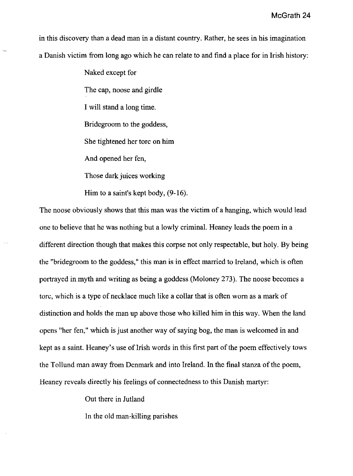in this discovery than a dead man in a distant country. Rather, he sees in his imagination a Danish victim from long ago which he can relate to and find a place for in Irish history:

> Naked except for The cap, noose and girdle I will stand a long time. Bridegroom to the goddess, She tightened her tore on him And opened her fen, Those dark juices working

Him to a saint's kept body, (9-16).

The noose obviously shows that this man was the victim of a hanging, which would lead one to believe that he was nothing but a lowly criminal. Heaney leads the poem in a different direction though that makes this corpse not only respectable, but holy. By being the "bridegroom to the goddess," this man is in effect married to Ireland, which is often portrayed in myth and writing as being a goddess (Moloney 273). The noose becomes a tore, which is a type of necklace much like a collar that is often worn as a mark of distinction and holds the man up above those who killed him in this way. When the land opens "her fen," which is just another way of saying bog, the man is welcomed in and kept as a saint. Heaney's use of Irish words in this first part of the poem effectively tows the Tollund man away from Denmark and into Ireland. In the final stanza of the poem, Heaney reveals directly his feelings of connectedness to this Danish martyr:

Out there in Jutland

In the old man-killing parishes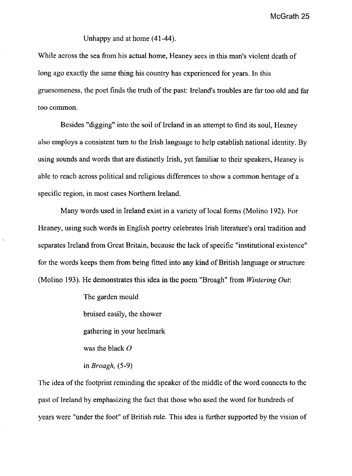Unhappy and at home (41-44).

While across the sea from his actual home, Heaney sees in this man's violent death of long ago exactly the same thing his conntry has experienced for years. In this gruesomeness, the poet finds the truth of the past: Ireland's troubles are far too old and far too common.

Besides "digging" into the soil of Ireland in an attempt to find its soul, Heaney also employs a consistent tum to the Irish language to help establish national identity. By using sounds and words that are distinctly Irish, yet familiar to their speakers, Heaney is able to reach across political and religious differences to show a common heritage of a specific region, in most cases Northern Ireland.

Many words used in Ireland exist in a variety of local forms (Molino 192). For Heaney, using such words in English poetry celebrates Irish literature's oral tradition and separates Ireland from Great Britain, because the lack of specific "institutional existence" for the words keeps them from being fitted into any kind of British language or structure (Molino 193). He demonstrates this idea in the poem "Broagh" from *Wintering Out:* 

> The garden mould bruised easily, the shower gathering in your heelmark was the black  $O$ in *Broagh, (5-9)*

The idea of the footprint reminding the speaker of the middle of the word connects to the past of Ireland by emphasizing the fact that those who used the word for hundreds of years were "under the foot" of British rule. This idea is further supported by the vision of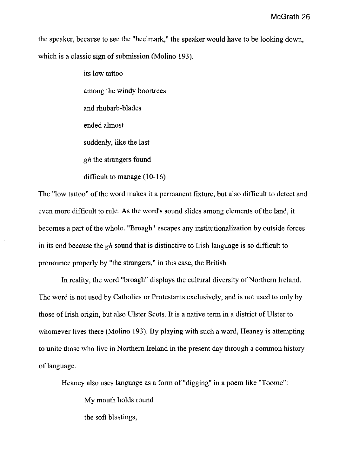the speaker, because to see the "heelmark," the speaker would have to be looking down, which is a classic sign of submission (Molino 193).

> its low tattoo among the windy boortrees and rhubarb-blades ended almost suddenly, like the last *gh* the strangers found difficult to manage (10-16)

The "low tattoo" of the word makes it a permanent fixture, but also difficult to detect and even more difficult to rule. As the word's sound slides among elements of the land, it becomes a part of the whole. "Broagh" escapes any institutionalization by outside forces in its end because the *gh* sound that is distinctive to Irish language is so difficult to pronounce properly by "the strangers," in this case, the British.

In reality, the word "broagh" displays the cultural diversity of Northern Ireland. The word is not used by Catholics or Protestants exclusively, and is not used to only by those of Irish origin, but also Ulster Scots. It is a native term in a district of Ulster to whomever lives there (Molino 193). By playing with such a word, Heaney is attempting to unite those who live in Northern Ireland in the present day through a common history of language.

Heaney also uses language as a form of "digging" in a poem like "Toome":

My mouth holds round

the soft blastings,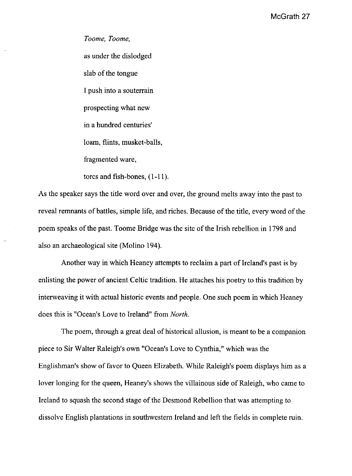*Toome, Toome,*  as under the dislodged slab of the tongue I push into a souterrain prospecting what new in a hundred centuries' loam, flints, musket-balls, fragmented ware, torcs and fish-bones, (1-11).

As the speaker says the title word over and over, the ground melts away into the past to reveal remnants of battles, simple life, and riches. Because of the title, every word of the poem speaks of the past. Toome Bridge was the site of the Irish rebellion in 1798 and also an archaeological site (Molino 194).

Another way in which Heaney attempts to reclaim a part of Ireland's past is by enlisting the power of ancient Celtic tradition. He attaches his poetry to this tradition by interweaving it with actual historic events and people. One such poem in which Heaney does this is "Ocean's Love to Ireland" from *North.* 

The poem, through a great deal of historical allusion, is meant to be a companion piece to Sir Walter Raleigh's own "Ocean's Love to Cynthia," which was the Englishman's show of favor to Queen Elizabeth. While Raleigh's poem displays him as a lover longing for the queen, Heaney's shows the villainous side of Raleigh, who came to Ireland to squash the second stage of the Desmond Rebellion that was attempting to dissolve English plantations in southwestern Ireland and left the fields in complete ruin.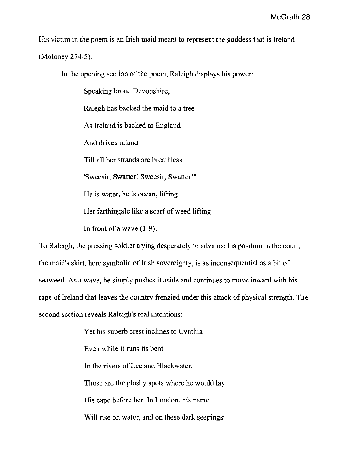His victim in the poem is an Irish maid meant to represent the goddess that is Ireland

(Moloney 274-5).

In the opening section of the poem, Raleigh displays his power:

Speaking broad Devonshire,

Ralegh has backed the maid to a tree

As Ireland is backed to England

And drives inland

Till all her strands are breathless:

'Sweesir, Swatter! Sweesir, Swatter!"

He is water, he is ocean, lifting

Her farthingale like a scarf of weed lifting

In front of a wave  $(1-9)$ .

To Raleigh, the pressing soldier trying desperately to advance his position in the court, the maid's skirt, here symbolic of Irish sovereignty, is as inconsequential as a bit of seaweed. As a wave, he simply pushes it aside and continues to move inward with his rape of Ireland that leaves the country frenzied under this attack of physical strength. The second section reveals Raleigh's real intentions:

> Yet his superb crest inclines to Cynthia Even while it runs its bent In the rivers of Lee and Blackwater. Those are the plashy spots where he would lay His cape before her. In London, his name Will rise on water, and on these dark seepings: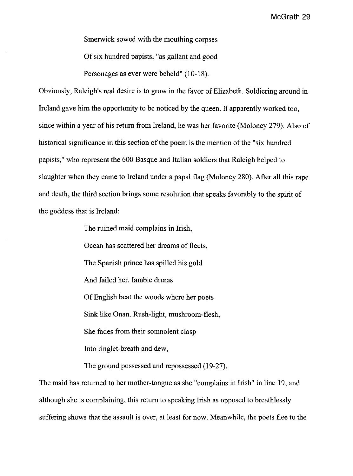Smerwick sowed with the mouthing corpses Of six hundred papists, "as gallant and good Personages as ever were beheld" (10-18).

Obviously, Raleigh's real desire is to grow in the favor of Elizabeth. Soldiering around in Ireland gave him the opportunity to be noticed by the queen. It apparently worked too, since within a year of his return from Ireland, he was her favorite (Moloney 279). Also of historical significance in this section of the poem is the mention of the "six hundred papists," who represent the 600 Basque and Italian soldiers that Raleigh helped to slaughter when they came to Ireland under a papal flag (Moloney 280). After all this rape and death, the third section brings some resolution that speaks favorably to the spirit of the goddess that is Ireland:

The ruined maid complains in Irish,

Ocean has scattered her dreams of fleets,

The Spanish prince has spilled his gold

And failed her. Iambic drums

Of English beat the woods where her poets

Sink like Onan. Rush-light, mushroom-flesh,

She fades from their somnolent clasp

Into ringlet-breath and dew,

The ground possessed and repossessed (19-27).

The maid has returned to her mother-tongue as she "complains in Irish" in line 19, and although she is complaining, this return to speaking Irish as opposed to breathlessly suffering shows that the assault is over, at least for now. Meanwhile, the poets flee to the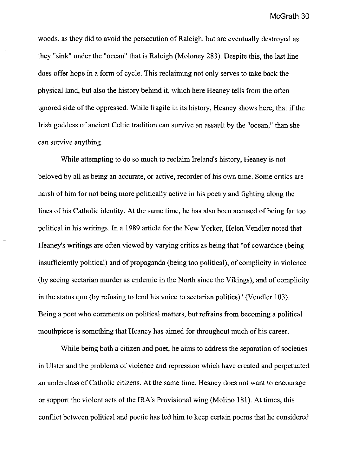woods, as they did to avoid the persecution of Raleigh, but are eventually destroyed as they "sink" under the "ocean" that is Raleigh (Moloney 283). Despite this, the last line does offer hope in a form of cycle. This reclaiming not only serves to take back the physical land, but also the history behind it, which here Heaney tells from the often ignored side of the oppressed. While fragile in its history, Heaney shows here, that if the Irish goddess of ancient Celtic tradition can survive an assault by the "ocean," than she can survive anything.

While attempting to do so much to reclaim Ireland's history, Heaney is not beloved by all as being an accurate, or active, recorder of his own time. Some critics are harsh of him for not being more politically active in his poetry and fighting along the lines of his Catholic identity. At the same time, he has also been accused of being far too political in his writings. In a 1989 article for the New Yorker, Helen Vendler noted that Heaney's writings are often viewed by varying critics as being that "of cowardice (being insufficiently political) and of propaganda (being too political), of complicity in violence (by seeing sectarian murder as endemic in the North since the Vikings), and of complicity in the status quo (by refusing to lend his voice to sectarian politics)" (Vendler 103). Being a poet who comments on political matters, but refrains from becoming a political mouthpiece is something that Heaney has aimed for throughout much of his career.

While being both a citizen and poet, he aims to address the separation of societies in Ulster and the problems of violence and repression which have created and perpetuated an underclass of Catholic citizens. At the same time, Heaney does not want to encourage or support the violent acts of the IRA's Provisional wing (Molino 181). At times, this conflict between political and poetic has led him to keep certain poems that he considered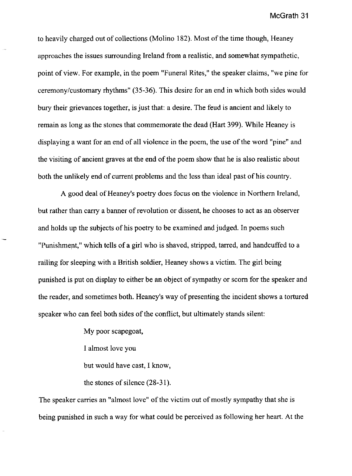to heavily charged out of collections (Molino 182). Most of the time though, Heaney approaches the issues surrounding Ireland from a realistic, and somewhat sympathetic, point of view. For example, in the poem "Funeral Rites," the speaker claims, "we pine for ceremony/customary rhythms" (35-36). This desire for an end in which both sides would bury their grievances together, is just that: a desire. The feud is ancient and likely to remain as long as the stones that commemorate the dead (Hart 399). While Heaney is displaying a want for an end of all violence in the poem, the use of the word "pine" and the visiting of ancient graves at the end of the poem show that he is also realistic about both the unlikely end of current problems and the less than ideal past of his country.

A good deal of Heaney's poetry does focus on the violence in Northern Ireland, but rather than carry a banner of revolution or dissent, he chooses to act as an observer and holds up the subjects of his poetry to be examined and judged. In poems such "Punishment," which tells of a girl who is shaved, stripped, tarred, and handcuffed to a railing for sleeping with a British soldier, Heaney shows a victim. The girl being punished is put on display to either be an object of sympathy or scorn for the speaker and the reader, and sometimes both. Heaney's way of presenting the incident shows a tortured speaker who can feel both sides of the conflict, but ultimately stands silent:

> My poor scapegoat, I almost love you but would have cast, I know, the stones of silence (28-31).

The speaker carries an "almost love" of the victim out of mostly sympathy that she is being punished in such a way for what could be perceived as following her heart. At the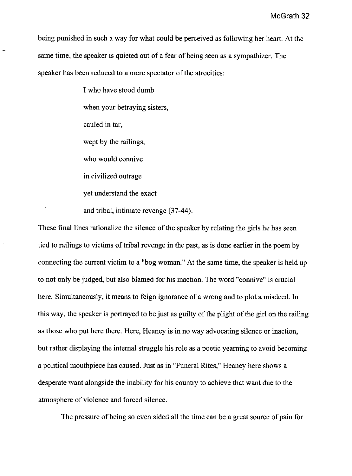being punished in such a way for what could be perceived as following her heart. At the same time, the speaker is quieted out of a fear of being seen as a sympathizer. The speaker has been reduced to a mere spectator of the atrocities:

> I who have stood dumb when your betraying sisters, cauled in tar, wept by the railings, who would connive in civilized outrage yet understand the exact and tribal, intimate revenge (37-44).

These final lines rationalize the silence of the speaker by relating the girls he has seen tied to railings to victims of tribal revenge in the past, as is done earlier in the poem by connecting the current victim to a "bog woman." At the same time, the speaker is held up to not only be judged, but also blamed for his inaction. The word "connive" is crucial here. Simultaneously, it means to feign ignorance of a wrong and to plot a misdeed. In this way, the speaker is portrayed to be just as guilty of the plight of the girl on the railing as those who put here there. Here, Heaney is in no way advocating silence or inaction, but rather displaying the internal struggle his role as a poetic yearning to avoid becoming a political mouthpiece has caused. Just as in "Funeral Rites," Heaney here shows a desperate want alongside the inability for his country to achieve that want due to the atmosphere of violence and forced silence.

The pressure of being so even sided all the time can be a great source of pain for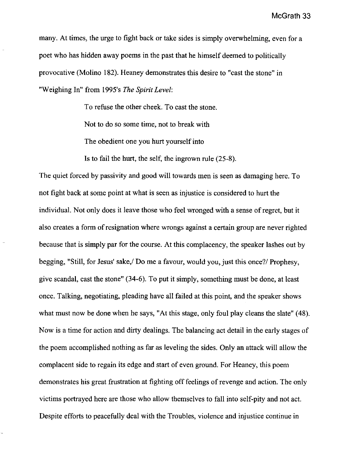many. At times, the urge to fight back or take sides is simply overwhelming, even for a poet who has hidden away poems in the past that he himself deemed to politically provocative (Molino 182). Heaney demonstrates this desire to "cast the stone" in "Weighing In" from 1995's *The Spirit Level:* 

> To refuse the other cheek. To cast the stone. Not to do so some time, not to break with The obedient one you hurt yourself into

Is to fail the hurt, the self, the ingrown rule (25-8).

The quiet forced by passivity and good will towards men is seen as damaging here. To not fight back at some point at what is seen as injustice is considered to hurt the individual. Not only does it leave those who feel wronged with a sense of regret, but it also creates a form of resignation where wrongs against a certain group are never righted because that is simply par for the course. At this complacency, the speaker lashes out by begging, "Still, for Jesus' sake,! Do me a favour, would you, just this *once?1* Prophesy, give scandal, cast the stone" (34-6). To put it simply, something must be done, at least once. Talking, negotiating, pleading have all failed at this point, and the speaker shows what must now be done when he says, "At this stage, only foul play cleans the slate" (48). Now is a time for action and dirty dealings. The balancing act detail in the early stages of the poem accomplished nothing as far as leveling the sides. Only an attack will allow the complacent side to regain its edge and start of even ground. For Heaney, this poem demonstrates his great frustration at fighting off feelings of revenge and action. The only victims portrayed here are those who allow themselves to fall into self-pity and not act. Despite efforts to peacefully deal with the Troubles, violence and injustice continue in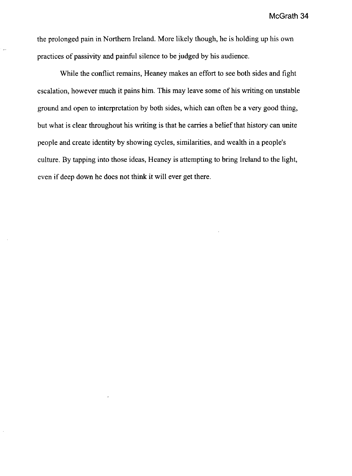the prolonged pain in Northern Ireland. More likely though, he is holding up his own practices of passivity and painful silence to be judged by his audience.

While the conflict remains, Heaney makes an effort to see both sides and fight escalation, however much it pains him. This may leave some of his writing on unstable ground and open to interpretation by both sides, which can often be a very good thing, but what is clear throughout his writing is that he carries a belief that history can unite people and create identity by showing cycles, similarities, and wealth in a people's culture. By tapping into those ideas, Heaney is attempting to bring Ireland to the light, even if deep down he does not think it will ever get there.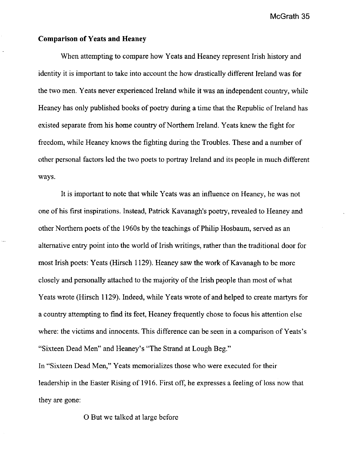# **Comparison of Yeats and Heaney**

When attempting to compare how Yeats and Heaney represent Irish history and identity it is important to take into account the how drastically different Ireland was for the two men. Yeats never experienced Ireland while it was an independent country, while Heaney has only published books of poetry during a time that the Republic of Ireland has existed separate from his home country of Northern Ireland. Yeats knew the fight for freedom, while Heaney knows the fighting during the Troubles. These and a number of other personal factors led the two poets to portray Ireland and its people in much different ways.

It is important to note that while Yeats was an influence on Heaney, he was not one of his first inspirations. Instead, Patrick Kavanagh's poetry, revealed to Heaney and other Northern poets of the 1960s by the teachings of Philip Hosbaum, served as an alternative entry point into the world of Irish writings, rather than the traditional door for most Irish poets: Yeats (Hirsch 1129). Heaney saw the work of Kavanagh to be more closely and personally attached to the majority of the Irish people than most of what Yeats wrote (Hirsch 1129). Indeed, while Yeats wrote of and helped to create martyrs for a country attempting to find its feet, Heaney frequently chose to focus his attention else where: the victims and innocents. This difference can be seen in a comparison of Yeats's "Sixteen Dead Men" and Heaney's "The Strand at Lough Beg."

In "Sixteen Dead Men," Yeats memorializes those who were executed for their leadership in the Easter Rising of 1916. First off, he expresses a feeling of loss now that they are gone:

o But we talked at large before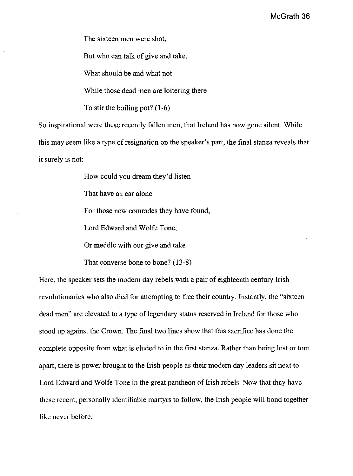The sixteen men were shot,

But who can talk of give and take,

What should be and what not

While those dead men are loitering there

To stir the boiling pot? (1-6)

So inspirational were these recently fallen men, that Ireland has now gone silent. While this may seem like a type of resignation on the speaker's part, the final stanza reveals that it surely is not:

How could you dream they'd listen

That have an ear alone

For those new comrades they have found,

Lord Edward and Wolfe Tone,

Or meddle with our give and take

That converse bone to bone? (13-8)

Here, the speaker sets the modem day rebels with a pair of eighteenth century Irish revolutionaries who also died for attempting to free their country. Instantly, the "sixteen dead men" are elevated to a type of legendary status reserved in Ireland for those who stood up against the Crown. The final two lines show that this sacrifice has done the complete opposite from what is eluded to in the first stanza. Rather than being lost or tom apart, there is power brought to the Irish people as their modem day leaders sit next to Lord Edward and Wolfe Tone in the great pantheon of Irish rebels. Now that they have these recent, personally identifiable martyrs to follow, the Irish people will bond together like never before.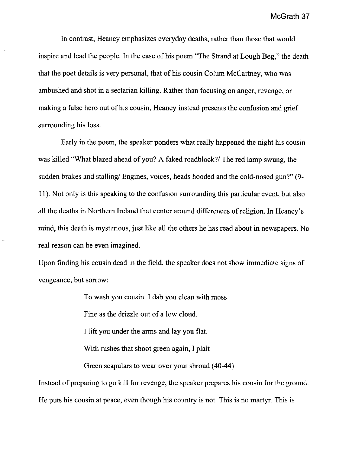In contrast, Heaney emphasizes everyday deaths, rather than those that would inspire and lead the people. In the case of his poem "The Strand at Lough Beg," the death that the poet details is very personal, that of his cousin Colum McCartney, who was ambushed and shot in a sectarian killing. Rather than focusing on anger, revenge, or making a false hero out of his cousin, Heaney instead presents the confusion and grief surrounding his loss.

Early in the poem, the speaker ponders what really happened the night his cousin was killed "What blazed ahead of you? A faked roadblock?/ The red lamp swung, the sudden brakes and stalling/ Engines, voices, heads hooded and the cold-nosed gun?" (9-11). Not only is this speaking to the confusion surrounding this particular event, but also all the deaths in Northern Ireland that center around differences of religion. In Heaney's mind, this death is mysterious, just like all the others he has read about in newspapers. No real reason can be even imagined.

Upon finding his cousin dead in the field, the speaker does not show immediate signs of vengeance, but sorrow:

To wash you cousin. I dab you clean with moss

Fine as the drizzle out of a low cloud.

I lift you under the arms and lay you flat.

With rushes that shoot green again, I plait

Green scapulars to wear over your shroud (40-44).

Instead of preparing to go kill for revenge, the speaker prepares his cousin for the ground. He puts his cousin at peace, even though his country is not. This is no martyr. This is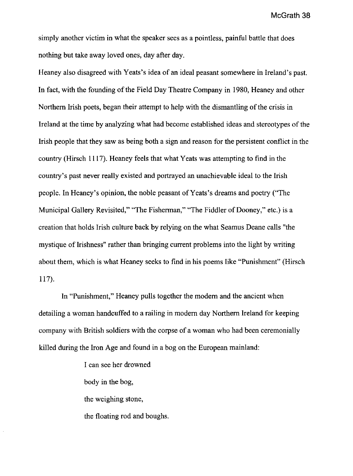simply another victim in what the speaker sees as a pointless, painful battle that does nothing but take away loved ones, day after day.

Heaney also disagreed with Yeats's idea of an ideal peasant somewhere in Ireland's past. In fact, with the founding of the Field Day Theatre Company in 1980, Heaney and other Northern Irish poets, began their attempt to help with the dismantling of the crisis in Ireland at the time by analyzing what had become established ideas and stereotypes of the Irish people that they saw as being both a sign and reason for the persistent conflict in the country (Hirsch 1117). Heaney feels that what Yeats was attempting to find in the country's past never really existed and portrayed an unachievable ideal to the Irish people. In Heaney's opinion, the noble peasant of Yeats's dreams and poetry ("The Municipal Gallery Revisited," "The Fisherman," "The Fiddler of Dooney," etc.) is a creation that holds Irish culture back by relying on the what Seamus Deane calls "the mystique of Irishness" rather than bringing current problems into the light by writing about them, which is what Heaney seeks to find in his poems like "Punishment" (Hirsch 117).

In "Punishment," Heaney pulls together the modem and the ancient when detailing a woman handcuffed to a railing in modem day Northern Ireland for keeping company with British soldiers with the corpse of a woman who had been ceremonially killed during the Iron Age and found in a bog on the European mainland:

> I can see her drowned body in the bog, the weighing stone, the floating rod and boughs.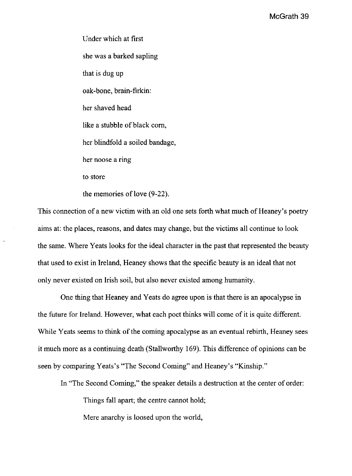Under which at first she was a barked sapling that is dug up oak-bone, brain-firkin: her shaved head like a stubble of black com, her blindfold a soiled bandage, her noose a ring to store the memories of love (9-22).

This connection of a new victim with an old one sets forth what much of Heaney's poetry aims at: the places, reasons, and dates may change, but the victims all continue to look the same. Where Yeats looks for the ideal character in the past that represented the beauty that used to exist in Ireland, Heaney shows that the specific beauty is an ideal that not only never existed on Irish soil, but also never existed among humanity.

One thing that Heaney and Yeats do agree upon is that there is an apocalypse in the future for Ireland. However, what each poet thinks will come of it is quite different. While Yeats seems to think of the coming apocalypse as an eventual rebirth, Heaney sees it much more as a continuing death (Stallworthy 169). This difference of opinions can be seen by comparing Yeats's "The Second Coming" and Heaney's "Kinship."

In "The Second Coming," the speaker details a destruction at the center of order:

Things fall apart; the centre cannot hold;

Mere anarchy is loosed upon the world,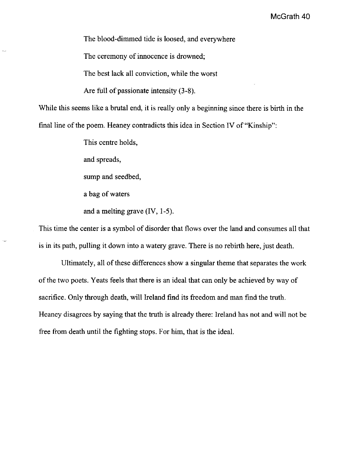The blood-dimmed tide is loosed, and everywhere

The ceremony of innocence is drowned;

The best lack all conviction, while the worst

Are full of passionate intensity (3-8).

While this seems like a brutal end, it is really only a beginning since there is birth in the final line of the poem. Heaney contradicts this idea in Section IV of "Kinship":

This centre holds,

and spreads,

sump and seedbed,

a bag of waters

and a melting grave (lV, 1-5).

This time the center is a symbol of disorder that flows over the land and consumes all that is in its path, pulling it down into a watery grave. There is no rebirth here, just death.

Ultimately, all of these differences show a singular theme that separates the work of the two poets. Yeats feels that there is an ideal that can only be achieved by way of sacrifice. Only through death, will Ireland find its freedom and man find the truth. Heaney disagrees by saying that the truth is already there: Ireland has not and will not be free from death until the fighting stops. For him, that is the ideal.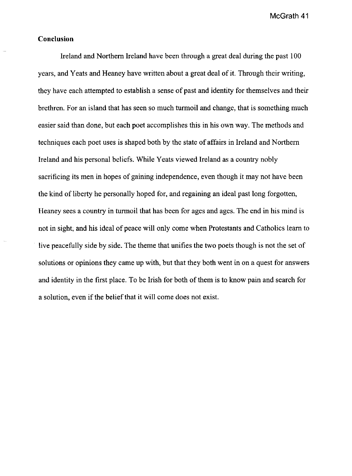# **Conclusion**

Ireland and Northern Ireland have been through a great deal during the past 100 years, and Yeats and Heaney have written about a great deal of it. Through their writing, they have each attempted to establish a sense of past and identity for themselves and their brethren. For an island that has seen so much turmoil and change, that is something much easier said than done, but each poet accomplishes this in his own way. The methods and techniques each poet uses is shaped both by the state of affairs in Ireland and Northern Ireland and his personal beliefs. While Yeats viewed Ireland as a country nobly sacrificing its men in hopes of gaining independence, even though it may not have been the kind of liberty he personally hoped for, and regaining an ideal past long forgotten, Heaney sees a country in turmoil that has been for ages and ages. The end in his mind is not in sight, and his ideal of peace will only come when Protestants and Catholics learn to live peacefully side by side. The theme that unifies the two poets though is not the set of solutions or opinions they came up with, but that they both went in on a quest for answers and identity in the first place. To be Irish for both of them is to know pain and search for a solution, even if the belief that it will come does not exist.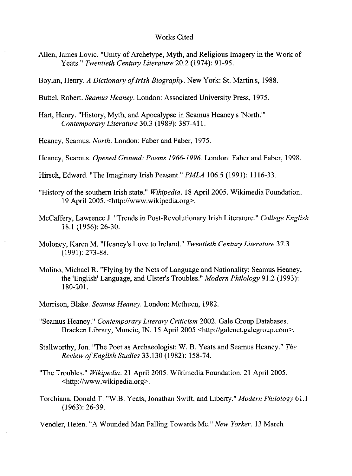#### Works Cited

- Allen, James Lovic. "Unity of Archetype, Myth, and Religious Imagery in the Work of Yeats." *Twentieth Century Literature* 20.2 (1974): 91-95.
- Boylan, Henry. *A Dictionary of Irish Biography*. New York: St. Martin's, 1988.
- Buttel, Robert. *Seamus Heaney.* London: Associated University Press, 1975.
- Hart, Henry. "History, Myth, and Apocalypse in Seamus Heaney's 'North.'" *Contemporary Literature* 30.3 (1989): 387-411.
- Heaney, Seamus. *North.* London: Faber and Faber, 1975.
- Heaney, Seamus. *Opened Ground: Poems* 1966-1996. London: Faber and Faber, 1998.
- Hirsch, Edward. "The Imaginary Irish Peasant." *PMLA* 106.5 (1991): 1116-33.
- "History of the southern Irish state." *Wikipedia.* 18 April 2005. Wikimedia Foundation. 19 April 2005. <http://www.wikipedia.org>.
- McCaffery, Lawrence J. "Trends in Post-Revolutionary Irish Literature." *College English*  18.1 (1956): 26-30.
- Moloney, Karen M. "Heaney's Love to Ireland." *Twentieth Century Literature 37.3*  (1991): 273-88.
- Molino, Michael R. "Flying by the Nets of Language and Nationality: Seamus Heaney, the 'English' Language, and Ulster's Troubles." *Modern Philology* 91.2 (1993): 180-201.
- Morrison, Blake. *Seamus Heaney.* London: Methuen, 1982.
- "Seamus Heaney." *Contemporary Literary Criticism* 2002. Gale Group Databases. Bracken Library, Muncie, IN. 15 April 2005 <http://galenet.galegroup.com>.
- Stallworthy, Jon. "The Poet as Archaeologist: W. B. Yeats and Seamus Heaney." *The Review o/English Studies* 33.130 (1982): 158-74.
- "The Troubles." *Wikipedia.* 21 April 2005. Wikimedia Foundation. 21 April 2005. <http://www.wikipedia.org>.
- Torchiana, Donald T. "W.B. Yeats, Jonathan Swift, and Liberty." *Modern Philology 61.1*  (1963): 26-39.
- Vendler, Helen. "A Wounded Man Falling Towards Me." *New Yorker.* 13 March